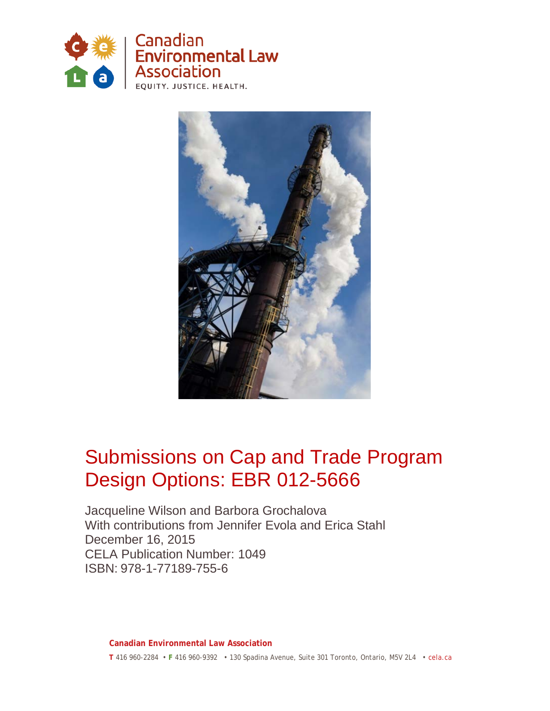



## Submissions on Cap and Trade Program Design Options: EBR 012-5666

Jacqueline Wilson and Barbora Grochalova With contributions from Jennifer Evola and Erica Stahl December 16, 2015 CELA Publication Number: 1049 ISBN: 978-1-77189-755-6

**Canadian Environmental Law Association T** 416 960-2284 • **F** 416 960-9392 • 130 Spadina Avenue, Suite 301 Toronto, Ontario, M5V 2L4 • cela.ca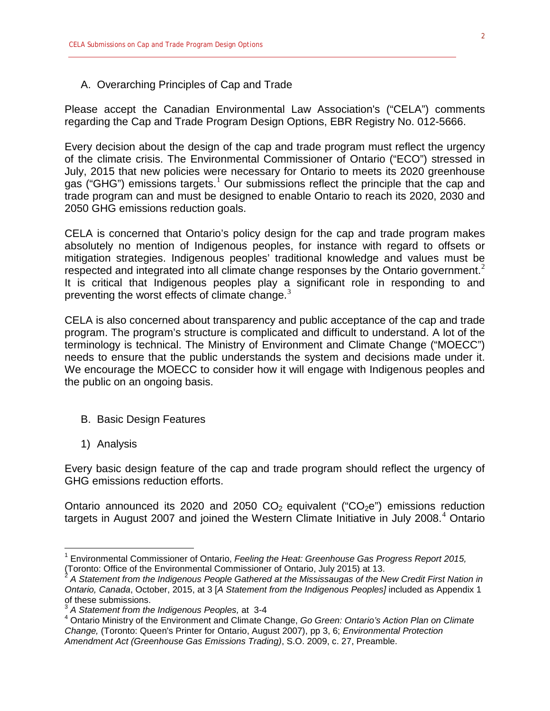#### A. Overarching Principles of Cap and Trade

Please accept the Canadian Environmental Law Association's ("CELA") comments regarding the Cap and Trade Program Design Options, EBR Registry No. 012-5666.

Every decision about the design of the cap and trade program must reflect the urgency of the climate crisis. The Environmental Commissioner of Ontario ("ECO") stressed in July, 2015 that new policies were necessary for Ontario to meets its 2020 greenhouse gas ("GHG") emissions targets.<sup>[1](#page-1-0)</sup> Our submissions reflect the principle that the cap and trade program can and must be designed to enable Ontario to reach its 2020, 2030 and 2050 GHG emissions reduction goals.

CELA is concerned that Ontario's policy design for the cap and trade program makes absolutely no mention of Indigenous peoples, for instance with regard to offsets or mitigation strategies. Indigenous peoples' traditional knowledge and values must be respected and integrated into all climate change responses by the Ontario government.<sup>[2](#page-1-1)</sup> It is critical that Indigenous peoples play a significant role in responding to and preventing the worst effects of climate change. $3$ 

CELA is also concerned about transparency and public acceptance of the cap and trade program. The program's structure is complicated and difficult to understand. A lot of the terminology is technical. The Ministry of Environment and Climate Change ("MOECC") needs to ensure that the public understands the system and decisions made under it. We encourage the MOECC to consider how it will engage with Indigenous peoples and the public on an ongoing basis.

- B. Basic Design Features
- 1) Analysis

Every basic design feature of the cap and trade program should reflect the urgency of GHG emissions reduction efforts.

Ontario announced its 2020 and 2050  $CO<sub>2</sub>$  equivalent (" $CO<sub>2</sub>e$ ") emissions reduction targets in August 2007 and joined the Western Climate Initiative in July 2008. $4$  Ontario

<span id="page-1-0"></span><sup>1</sup> Environmental Commissioner of Ontario, *Feeling the Heat: Greenhouse Gas Progress Report 2015,*  (Toronto: Office of the Environmental Commissioner of Ontario, July 2015) at 13.

<span id="page-1-1"></span><sup>2</sup> *A Statement from the Indigenous People Gathered at the Mississaugas of the New Credit First Nation in Ontario, Canada*, October, 2015, at 3 [*A Statement from the Indigenous Peoples]* included as Appendix 1 of these submissions.

<sup>3</sup> *A Statement from the Indigenous Peoples,* at 3-4

<span id="page-1-3"></span><span id="page-1-2"></span><sup>4</sup> Ontario Ministry of the Environment and Climate Change, *Go Green: Ontario's Action Plan on Climate Change,* (Toronto: Queen's Printer for Ontario, August 2007), pp 3, 6; *Environmental Protection Amendment Act (Greenhouse Gas Emissions Trading)*, S.O. 2009, c. 27, Preamble.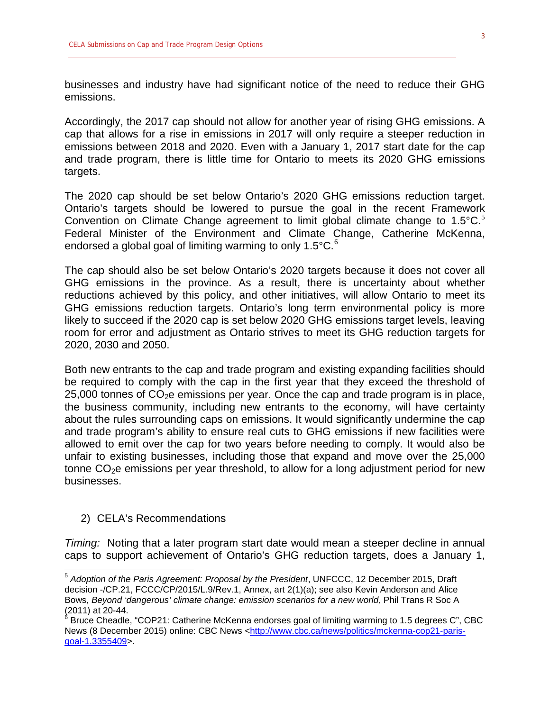businesses and industry have had significant notice of the need to reduce their GHG emissions.

Accordingly, the 2017 cap should not allow for another year of rising GHG emissions. A cap that allows for a rise in emissions in 2017 will only require a steeper reduction in emissions between 2018 and 2020. Even with a January 1, 2017 start date for the cap and trade program, there is little time for Ontario to meets its 2020 GHG emissions targets.

The 2020 cap should be set below Ontario's 2020 GHG emissions reduction target. Ontario's targets should be lowered to pursue the goal in the recent Framework Convention on Climate Change agreement to limit global climate change to  $1.5^{\circ}$  $1.5^{\circ}$  $1.5^{\circ}$ C.<sup>5</sup> Federal Minister of the Environment and Climate Change, Catherine McKenna, endorsed a global goal of limiting warming to only  $1.5^{\circ}$ C.<sup>[6](#page-2-1)</sup>

The cap should also be set below Ontario's 2020 targets because it does not cover all GHG emissions in the province. As a result, there is uncertainty about whether reductions achieved by this policy, and other initiatives, will allow Ontario to meet its GHG emissions reduction targets. Ontario's long term environmental policy is more likely to succeed if the 2020 cap is set below 2020 GHG emissions target levels, leaving room for error and adjustment as Ontario strives to meet its GHG reduction targets for 2020, 2030 and 2050.

Both new entrants to the cap and trade program and existing expanding facilities should be required to comply with the cap in the first year that they exceed the threshold of  $25,000$  tonnes of  $CO<sub>2</sub>e$  emissions per year. Once the cap and trade program is in place, the business community, including new entrants to the economy, will have certainty about the rules surrounding caps on emissions. It would significantly undermine the cap and trade program's ability to ensure real cuts to GHG emissions if new facilities were allowed to emit over the cap for two years before needing to comply. It would also be unfair to existing businesses, including those that expand and move over the 25,000 tonne  $CO<sub>2</sub>e$  emissions per year threshold, to allow for a long adjustment period for new businesses.

### 2) CELA's Recommendations

*Timing:* Noting that a later program start date would mean a steeper decline in annual caps to support achievement of Ontario's GHG reduction targets, does a January 1,

<span id="page-2-0"></span><sup>5</sup> *Adoption of the Paris Agreement: Proposal by the President*, UNFCCC, 12 December 2015, Draft decision -/CP.21, FCCC/CP/2015/L.9/Rev.1, Annex, art 2(1)(a); see also Kevin Anderson and Alice Bows, *Beyond 'dangerous' climate change: emission scenarios for a new world, Phil Trans R Soc A* (2011) at 20-44.<br><sup>6</sup> Bruce Cheadle, "COP21: Catherine McKenna endorses goal of limiting warming to 1.5 degrees C", CBC

<span id="page-2-1"></span>News (8 December 2015) online: CBC News [<http://www.cbc.ca/news/politics/mckenna-cop21-paris](http://www.cbc.ca/news/politics/mckenna-cop21-paris-goal-1.3355409)[goal-1.3355409>](http://www.cbc.ca/news/politics/mckenna-cop21-paris-goal-1.3355409).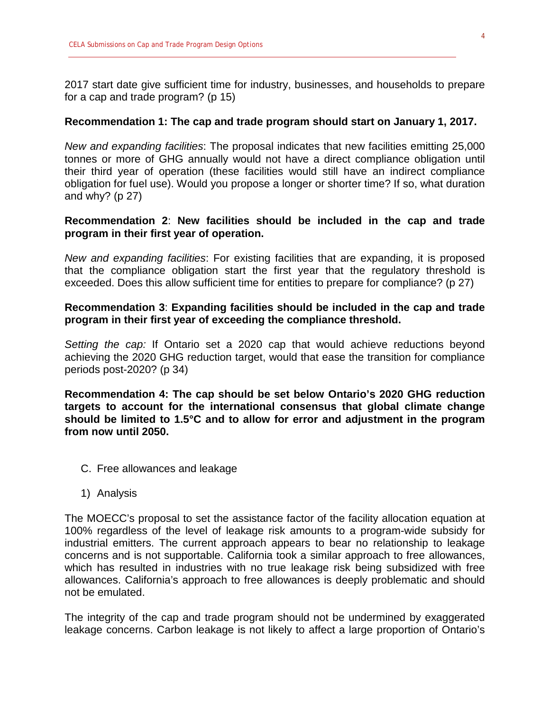2017 start date give sufficient time for industry, businesses, and households to prepare for a cap and trade program? (p 15)

#### **Recommendation 1: The cap and trade program should start on January 1, 2017.**

*New and expanding facilities*: The proposal indicates that new facilities emitting 25,000 tonnes or more of GHG annually would not have a direct compliance obligation until their third year of operation (these facilities would still have an indirect compliance obligation for fuel use). Would you propose a longer or shorter time? If so, what duration and why? ( $p$  27)

## **Recommendation 2**: **New facilities should be included in the cap and trade program in their first year of operation.**

*New and expanding facilities*: For existing facilities that are expanding, it is proposed that the compliance obligation start the first year that the regulatory threshold is exceeded. Does this allow sufficient time for entities to prepare for compliance? (p 27)

## **Recommendation 3**: **Expanding facilities should be included in the cap and trade program in their first year of exceeding the compliance threshold.**

*Setting the cap:* If Ontario set a 2020 cap that would achieve reductions beyond achieving the 2020 GHG reduction target, would that ease the transition for compliance periods post-2020? (p 34)

**Recommendation 4: The cap should be set below Ontario's 2020 GHG reduction targets to account for the international consensus that global climate change should be limited to 1.5°C and to allow for error and adjustment in the program from now until 2050.**

- C. Free allowances and leakage
- 1) Analysis

The MOECC's proposal to set the assistance factor of the facility allocation equation at 100% regardless of the level of leakage risk amounts to a program-wide subsidy for industrial emitters. The current approach appears to bear no relationship to leakage concerns and is not supportable. California took a similar approach to free allowances, which has resulted in industries with no true leakage risk being subsidized with free allowances. California's approach to free allowances is deeply problematic and should not be emulated.

The integrity of the cap and trade program should not be undermined by exaggerated leakage concerns. Carbon leakage is not likely to affect a large proportion of Ontario's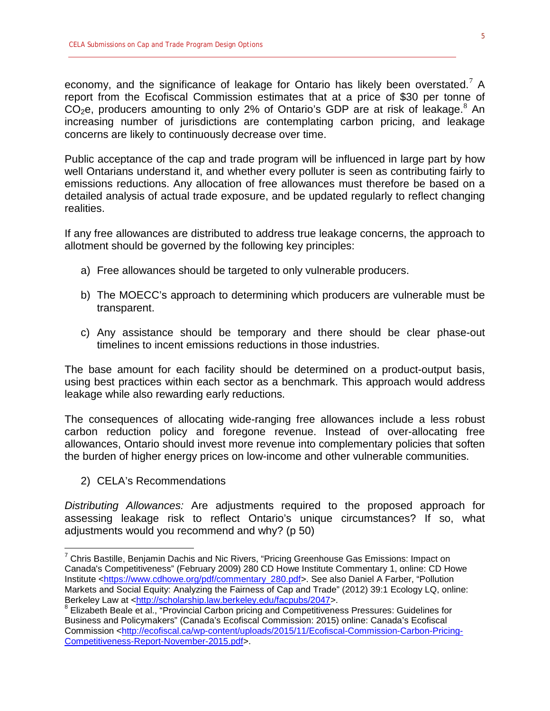economy, and the significance of leakage for Ontario has likely been overstated.<sup>[7](#page-4-0)</sup> A report from the Ecofiscal Commission estimates that at a price of \$30 per tonne of  $CO<sub>2</sub>e$ , producers amounting to only 2% of Ontario's GDP are at risk of leakage.<sup>[8](#page-4-1)</sup> An increasing number of jurisdictions are contemplating carbon pricing, and leakage concerns are likely to continuously decrease over time.

Public acceptance of the cap and trade program will be influenced in large part by how well Ontarians understand it, and whether every polluter is seen as contributing fairly to emissions reductions. Any allocation of free allowances must therefore be based on a detailed analysis of actual trade exposure, and be updated regularly to reflect changing realities.

If any free allowances are distributed to address true leakage concerns, the approach to allotment should be governed by the following key principles:

- a) Free allowances should be targeted to only vulnerable producers.
- b) The MOECC's approach to determining which producers are vulnerable must be transparent.
- c) Any assistance should be temporary and there should be clear phase-out timelines to incent emissions reductions in those industries.

The base amount for each facility should be determined on a product-output basis, using best practices within each sector as a benchmark. This approach would address leakage while also rewarding early reductions.

The consequences of allocating wide-ranging free allowances include a less robust carbon reduction policy and foregone revenue. Instead of over-allocating free allowances, Ontario should invest more revenue into complementary policies that soften the burden of higher energy prices on low-income and other vulnerable communities.

2) CELA's Recommendations

*Distributing Allowances:* Are adjustments required to the proposed approach for assessing leakage risk to reflect Ontario's unique circumstances? If so, what adjustments would you recommend and why? (p 50)

<span id="page-4-0"></span> $7$  Chris Bastille, Benjamin Dachis and Nic Rivers, "Pricing Greenhouse Gas Emissions: Impact on Canada's Competitiveness" (February 2009) 280 CD Howe Institute Commentary 1, online: CD Howe Institute [<https://www.cdhowe.org/pdf/commentary\\_280.pdf>](https://www.cdhowe.org/pdf/commentary_280.pdf). See also Daniel A Farber, "Pollution Markets and Social Equity: Analyzing the Fairness of Cap and Trade" (2012) 39:1 Ecology LQ, online: Berkeley Law at [<http://scholarship.law.berkeley.edu/facpubs/2047>](http://scholarship.law.berkeley.edu/facpubs/2047).

<span id="page-4-1"></span><sup>&</sup>lt;sup>8</sup> Elizabeth Beale et al., "Provincial Carbon pricing and Competitiveness Pressures: Guidelines for Business and Policymakers" (Canada's Ecofiscal Commission: 2015) online: Canada's Ecofiscal Commission [<http://ecofiscal.ca/wp-content/uploads/2015/11/Ecofiscal-Commission-Carbon-Pricing-](http://ecofiscal.ca/wp-content/uploads/2015/11/Ecofiscal-Commission-Carbon-Pricing-Competitiveness-Report-November-2015.pdf)[Competitiveness-Report-November-2015.pdf>](http://ecofiscal.ca/wp-content/uploads/2015/11/Ecofiscal-Commission-Carbon-Pricing-Competitiveness-Report-November-2015.pdf).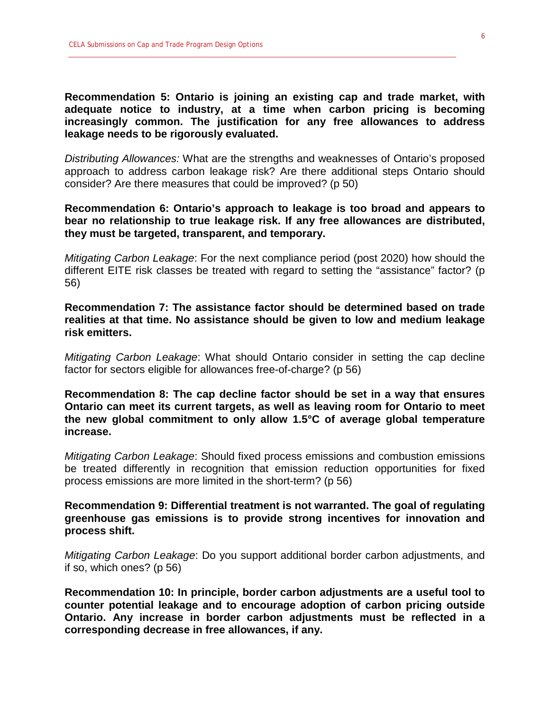**Recommendation 5: Ontario is joining an existing cap and trade market, with adequate notice to industry, at a time when carbon pricing is becoming increasingly common. The justification for any free allowances to address leakage needs to be rigorously evaluated.**

*Distributing Allowances:* What are the strengths and weaknesses of Ontario's proposed approach to address carbon leakage risk? Are there additional steps Ontario should consider? Are there measures that could be improved? (p 50)

**Recommendation 6: Ontario's approach to leakage is too broad and appears to bear no relationship to true leakage risk. If any free allowances are distributed, they must be targeted, transparent, and temporary.** 

*Mitigating Carbon Leakage*: For the next compliance period (post 2020) how should the different EITE risk classes be treated with regard to setting the "assistance" factor? (p 56)

**Recommendation 7: The assistance factor should be determined based on trade realities at that time. No assistance should be given to low and medium leakage risk emitters.** 

*Mitigating Carbon Leakage*: What should Ontario consider in setting the cap decline factor for sectors eligible for allowances free-of-charge? (p 56)

**Recommendation 8: The cap decline factor should be set in a way that ensures Ontario can meet its current targets, as well as leaving room for Ontario to meet the new global commitment to only allow 1.5°C of average global temperature increase.**

*Mitigating Carbon Leakage*: Should fixed process emissions and combustion emissions be treated differently in recognition that emission reduction opportunities for fixed process emissions are more limited in the short-term? (p 56)

**Recommendation 9: Differential treatment is not warranted. The goal of regulating greenhouse gas emissions is to provide strong incentives for innovation and process shift.** 

*Mitigating Carbon Leakage*: Do you support additional border carbon adjustments, and if so, which ones? (p 56)

**Recommendation 10: In principle, border carbon adjustments are a useful tool to counter potential leakage and to encourage adoption of carbon pricing outside Ontario. Any increase in border carbon adjustments must be reflected in a corresponding decrease in free allowances, if any.**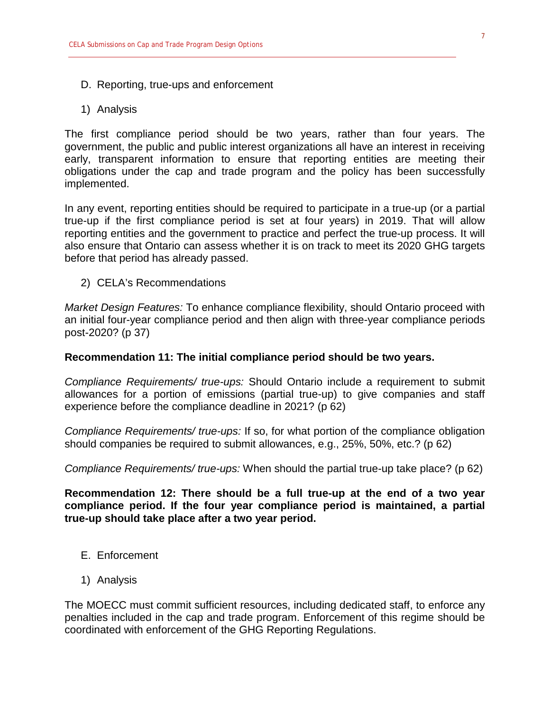- D. Reporting, true-ups and enforcement
- 1) Analysis

The first compliance period should be two years, rather than four years. The government, the public and public interest organizations all have an interest in receiving early, transparent information to ensure that reporting entities are meeting their obligations under the cap and trade program and the policy has been successfully implemented.

In any event, reporting entities should be required to participate in a true-up (or a partial true-up if the first compliance period is set at four years) in 2019. That will allow reporting entities and the government to practice and perfect the true-up process. It will also ensure that Ontario can assess whether it is on track to meet its 2020 GHG targets before that period has already passed.

2) CELA's Recommendations

*Market Design Features:* To enhance compliance flexibility, should Ontario proceed with an initial four-year compliance period and then align with three-year compliance periods post-2020? (p 37)

#### **Recommendation 11: The initial compliance period should be two years.**

*Compliance Requirements/ true-ups:* Should Ontario include a requirement to submit allowances for a portion of emissions (partial true-up) to give companies and staff experience before the compliance deadline in 2021? (p 62)

*Compliance Requirements/ true-ups:* If so, for what portion of the compliance obligation should companies be required to submit allowances, e.g., 25%, 50%, etc.? (p 62)

*Compliance Requirements/ true-ups:* When should the partial true-up take place? (p 62)

## **Recommendation 12: There should be a full true-up at the end of a two year compliance period. If the four year compliance period is maintained, a partial true-up should take place after a two year period.**

- E. Enforcement
- 1) Analysis

The MOECC must commit sufficient resources, including dedicated staff, to enforce any penalties included in the cap and trade program. Enforcement of this regime should be coordinated with enforcement of the GHG Reporting Regulations.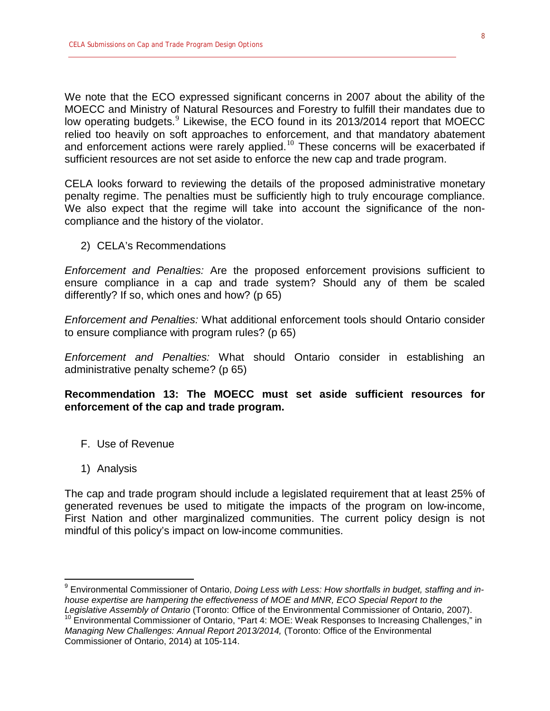We note that the ECO expressed significant concerns in 2007 about the ability of the MOECC and Ministry of Natural Resources and Forestry to fulfill their mandates due to low operating budgets.<sup>[9](#page-7-0)</sup> Likewise, the ECO found in its 2013/2014 report that MOECC relied too heavily on soft approaches to enforcement, and that mandatory abatement and enforcement actions were rarely applied.<sup>[10](#page-7-1)</sup> These concerns will be exacerbated if sufficient resources are not set aside to enforce the new cap and trade program.

CELA looks forward to reviewing the details of the proposed administrative monetary penalty regime. The penalties must be sufficiently high to truly encourage compliance. We also expect that the regime will take into account the significance of the noncompliance and the history of the violator.

2) CELA's Recommendations

*Enforcement and Penalties:* Are the proposed enforcement provisions sufficient to ensure compliance in a cap and trade system? Should any of them be scaled differently? If so, which ones and how? (p 65)

*Enforcement and Penalties:* What additional enforcement tools should Ontario consider to ensure compliance with program rules? (p 65)

*Enforcement and Penalties:* What should Ontario consider in establishing an administrative penalty scheme? (p 65)

**Recommendation 13: The MOECC must set aside sufficient resources for enforcement of the cap and trade program.**

- F. Use of Revenue
- 1) Analysis

The cap and trade program should include a legislated requirement that at least 25% of generated revenues be used to mitigate the impacts of the program on low-income, First Nation and other marginalized communities. The current policy design is not mindful of this policy's impact on low-income communities.

<span id="page-7-0"></span><sup>9</sup> Environmental Commissioner of Ontario, *Doing Less with Less: How shortfalls in budget, staffing and inhouse expertise are hampering the effectiveness of MOE and MNR, ECO Special Report to the* 

<span id="page-7-1"></span>Legislative Assembly of Ontario (Toronto: Office of the Environmental Commissioner of Ontario, 2007).<br><sup>10</sup> Environmental Commissioner of Ontario, "Part 4: MOE: Weak Responses to Increasing Challenges," in *Managing New Challenges: Annual Report 2013/2014,* (Toronto: Office of the Environmental Commissioner of Ontario, 2014) at 105-114.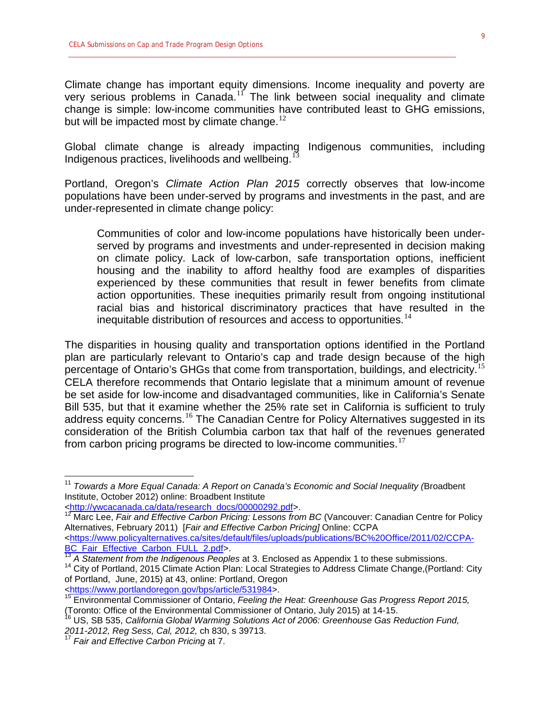Climate change has important equity dimensions. Income inequality and poverty are very serious problems in Canada.<sup>[11](#page-8-0)</sup> The link between social inequality and climate change is simple: low-income communities have contributed least to GHG emissions, but will be impacted most by climate change. $^{12}$  $^{12}$  $^{12}$ 

Global climate change is already impacting Indigenous communities, including Indigenous practices, livelihoods and wellbeing.<sup>1</sup>

Portland, Oregon's *Climate Action Plan 2015* correctly observes that low-income populations have been under-served by programs and investments in the past, and are under-represented in climate change policy:

Communities of color and low-income populations have historically been underserved by programs and investments and under-represented in decision making on climate policy. Lack of low-carbon, safe transportation options, inefficient housing and the inability to afford healthy food are examples of disparities experienced by these communities that result in fewer benefits from climate action opportunities. These inequities primarily result from ongoing institutional racial bias and historical discriminatory practices that have resulted in the inequitable distribution of resources and access to opportunities. $^{14}$  $^{14}$  $^{14}$ 

The disparities in housing quality and transportation options identified in the Portland plan are particularly relevant to Ontario's cap and trade design because of the high percentage of Ontario's GHGs that come from transportation, buildings, and electricity.<sup>[15](#page-8-4)</sup> CELA therefore recommends that Ontario legislate that a minimum amount of revenue be set aside for low-income and disadvantaged communities, like in California's Senate Bill 535, but that it examine whether the 25% rate set in California is sufficient to truly address equity concerns.<sup>[16](#page-8-5)</sup> The Canadian Centre for Policy Alternatives suggested in its consideration of the British Columbia carbon tax that half of the revenues generated from carbon pricing programs be directed to low-income communities. $17$ 

<span id="page-8-0"></span><sup>11</sup> *Towards a More Equal Canada: A Report on Canada's Economic and Social Inequality (*Broadbent Institute, October 2012) online: Broadbent Institute

<span id="page-8-1"></span>[<sup>&</sup>lt;http://ywcacanada.ca/data/research\\_docs/00000292.pdf>](http://ywcacanada.ca/data/research_docs/00000292.pdf). <sup>12</sup> Marc Lee, *Fair and Effective Carbon Pricing: Lessons from BC* (Vancouver: Canadian Centre for Policy Alternatives, February 2011) [*Fair and Effective Carbon Pricing]* Online: CCPA [<https://www.policyalternatives.ca/sites/default/files/uploads/publications/BC%20Office/2011/02/CCPA-](https://www.policyalternatives.ca/sites/default/files/uploads/publications/BC%20Office/2011/02/CCPA-BC_Fair_Effective_Carbon_FULL_2.pdf)

<span id="page-8-3"></span><span id="page-8-2"></span>[BC\\_Fair\\_Effective\\_Carbon\\_FULL\\_2.pdf>](https://www.policyalternatives.ca/sites/default/files/uploads/publications/BC%20Office/2011/02/CCPA-BC_Fair_Effective_Carbon_FULL_2.pdf).<br><sup>13</sup> A Statement from the Indigenous Peoples at 3. Enclosed as Appendix 1 to these submissions.<br><sup>14</sup> City of Portland, 2015 Climate Action Plan: Local Strategies to Address Climate Cha of Portland, June, 2015) at 43, online: Portland, Oregon<br>
<https://www.portlandoregon.gov/bps/article/531984>.

<span id="page-8-4"></span><sup>&</sup>lt;sup>1[5](https://www.portlandoregon.gov/bps/article/531984)</sup> Environmental Commissioner of Ontario, Feeling the Heat: Greenhouse Gas Progress Report 2015, (Toronto: Office of the Environmental Commissioner of Ontario, July 2015) at 14-15.<br><sup>16</sup> US, SB 535, *California Global Warming Solutions Act of 2006: Greenhouse Gas Reduction Fund,* 

<span id="page-8-5"></span>*<sup>2011-2012,</sup> Reg Sess, Cal, 2012,* ch 830, s 39713. <sup>17</sup> *Fair and Effective Carbon Pricing* at 7.

<span id="page-8-6"></span>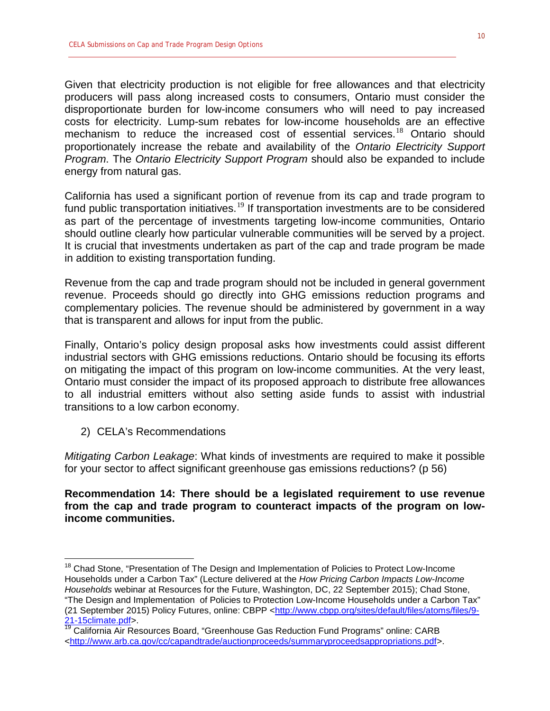Given that electricity production is not eligible for free allowances and that electricity producers will pass along increased costs to consumers, Ontario must consider the disproportionate burden for low-income consumers who will need to pay increased costs for electricity. Lump-sum rebates for low-income households are an effective mechanism to reduce the increased cost of essential services.<sup>[18](#page-9-0)</sup> Ontario should proportionately increase the rebate and availability of the *Ontario Electricity Support Program*. The *Ontario Electricity Support Program* should also be expanded to include energy from natural gas.

California has used a significant portion of revenue from its cap and trade program to fund public transportation initiatives.<sup>[19](#page-9-1)</sup> If transportation investments are to be considered as part of the percentage of investments targeting low-income communities, Ontario should outline clearly how particular vulnerable communities will be served by a project. It is crucial that investments undertaken as part of the cap and trade program be made in addition to existing transportation funding.

Revenue from the cap and trade program should not be included in general government revenue. Proceeds should go directly into GHG emissions reduction programs and complementary policies. The revenue should be administered by government in a way that is transparent and allows for input from the public.

Finally, Ontario's policy design proposal asks how investments could assist different industrial sectors with GHG emissions reductions. Ontario should be focusing its efforts on mitigating the impact of this program on low-income communities. At the very least, Ontario must consider the impact of its proposed approach to distribute free allowances to all industrial emitters without also setting aside funds to assist with industrial transitions to a low carbon economy.

2) CELA's Recommendations

*Mitigating Carbon Leakage*: What kinds of investments are required to make it possible for your sector to affect significant greenhouse gas emissions reductions? (p 56)

**Recommendation 14: There should be a legislated requirement to use revenue from the cap and trade program to counteract impacts of the program on lowincome communities.** 

<span id="page-9-0"></span><sup>&</sup>lt;sup>18</sup> Chad Stone, "Presentation of The Design and Implementation of Policies to Protect Low-Income Households under a Carbon Tax" (Lecture delivered at the *How Pricing Carbon Impacts Low-Income Households* webinar at Resources for the Future, Washington, DC, 22 September 2015); Chad Stone, "The Design and Implementation of Policies to Protection Low-Income Households under a Carbon Tax" (21 September 2015) Policy Futures, online: CBPP [<http://www.cbpp.org/sites/default/files/atoms/files/9-](http://www.cbpp.org/sites/default/files/atoms/files/9-21-15climate.pdf) [21-15climate.pdf>](http://www.cbpp.org/sites/default/files/atoms/files/9-21-15climate.pdf).

<span id="page-9-1"></span><sup>&</sup>lt;sup>19</sup> California Air Resources Board, "Greenhouse Gas Reduction Fund Programs" online: CARB [<http://www.arb.ca.gov/cc/capandtrade/auctionproceeds/summaryproceedsappropriations.pdf>](http://www.arb.ca.gov/cc/capandtrade/auctionproceeds/summaryproceedsappropriations.pdf).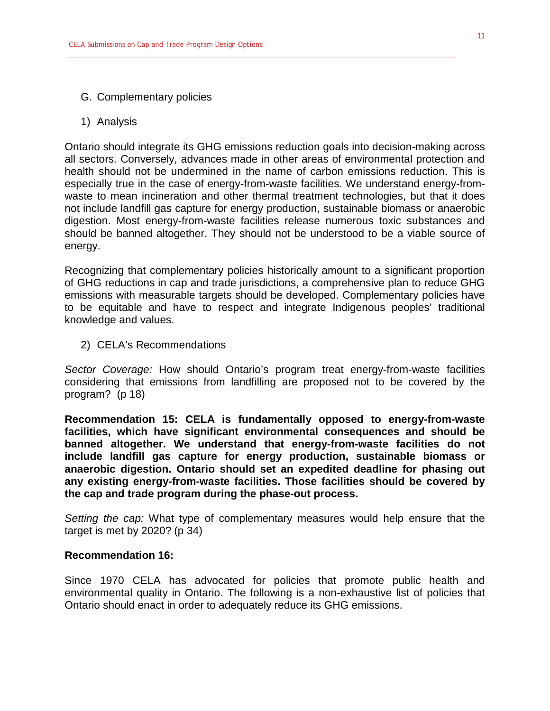- G. Complementary policies
- 1) Analysis

Ontario should integrate its GHG emissions reduction goals into decision-making across all sectors. Conversely, advances made in other areas of environmental protection and health should not be undermined in the name of carbon emissions reduction. This is especially true in the case of energy-from-waste facilities. We understand energy-fromwaste to mean incineration and other thermal treatment technologies, but that it does not include landfill gas capture for energy production, sustainable biomass or anaerobic digestion. Most energy-from-waste facilities release numerous toxic substances and should be banned altogether. They should not be understood to be a viable source of energy.

Recognizing that complementary policies historically amount to a significant proportion of GHG reductions in cap and trade jurisdictions, a comprehensive plan to reduce GHG emissions with measurable targets should be developed. Complementary policies have to be equitable and have to respect and integrate Indigenous peoples' traditional knowledge and values.

2) CELA's Recommendations

*Sector Coverage:* How should Ontario's program treat energy-from-waste facilities considering that emissions from landfilling are proposed not to be covered by the program? (p 18)

**Recommendation 15: CELA is fundamentally opposed to energy-from-waste facilities, which have significant environmental consequences and should be banned altogether. We understand that energy-from-waste facilities do not include landfill gas capture for energy production, sustainable biomass or anaerobic digestion. Ontario should set an expedited deadline for phasing out any existing energy-from-waste facilities. Those facilities should be covered by the cap and trade program during the phase-out process.** 

*Setting the cap:* What type of complementary measures would help ensure that the target is met by 2020? (p 34)

#### **Recommendation 16:**

Since 1970 CELA has advocated for policies that promote public health and environmental quality in Ontario. The following is a non-exhaustive list of policies that Ontario should enact in order to adequately reduce its GHG emissions.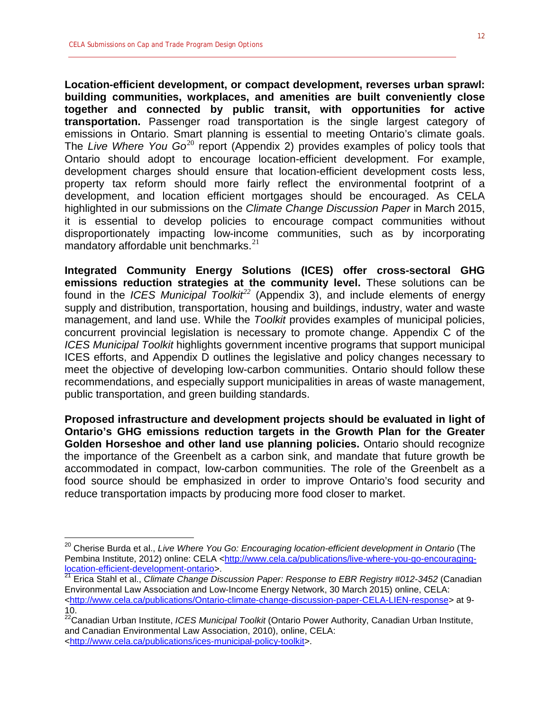**Location-efficient development, or compact development, reverses urban sprawl: building communities, workplaces, and amenities are built conveniently close together and connected by public transit, with opportunities for active transportation.** Passenger road transportation is the single largest category of emissions in Ontario. Smart planning is essential to meeting Ontario's climate goals. The *Live Where You Go*[20](#page-11-0) report (Appendix 2) provides examples of policy tools that Ontario should adopt to encourage location-efficient development. For example, development charges should ensure that location-efficient development costs less, property tax reform should more fairly reflect the environmental footprint of a development, and location efficient mortgages should be encouraged. As CELA highlighted in our submissions on the *Climate Change Discussion Paper* in March 2015, it is essential to develop policies to encourage compact communities without disproportionately impacting low-income communities, such as by incorporating mandatory affordable unit benchmarks. $21$ 

**Integrated Community Energy Solutions (ICES) offer cross-sectoral GHG emissions reduction strategies at the community level.** These solutions can be found in the *ICES Municipal Toolkit[22](#page-11-2)* (Appendix 3), and include elements of energy supply and distribution, transportation, housing and buildings, industry, water and waste management, and land use. While the *Toolkit* provides examples of municipal policies, concurrent provincial legislation is necessary to promote change. Appendix C of the *ICES Municipal Toolkit* highlights government incentive programs that support municipal ICES efforts, and Appendix D outlines the legislative and policy changes necessary to meet the objective of developing low-carbon communities. Ontario should follow these recommendations, and especially support municipalities in areas of waste management, public transportation, and green building standards.

**Proposed infrastructure and development projects should be evaluated in light of Ontario's GHG emissions reduction targets in the Growth Plan for the Greater Golden Horseshoe and other land use planning policies.** Ontario should recognize the importance of the Greenbelt as a carbon sink, and mandate that future growth be accommodated in compact, low-carbon communities. The role of the Greenbelt as a food source should be emphasized in order to improve Ontario's food security and reduce transportation impacts by producing more food closer to market.

<span id="page-11-0"></span><sup>&</sup>lt;sup>20</sup> Cherise Burda et al., *Live Where You Go: Encouraging location-efficient development in Ontario* (The Pembina Institute, 2012) online: CELA [<http://www.cela.ca/publications/live-where-you-go-encouraging](http://www.cela.ca/publications/live-where-you-go-encouraging-location-efficient-development-ontario)[location-efficient-development-ontario>](http://www.cela.ca/publications/live-where-you-go-encouraging-location-efficient-development-ontario).

<span id="page-11-1"></span><sup>21</sup> Erica Stahl et al., *Climate Change Discussion Paper: Response to EBR Registry #012-3452* (Canadian Environmental Law Association and Low-Income Energy Network, 30 March 2015) online, CELA: [<http://www.cela.ca/publications/Ontario-climate-change-discussion-paper-CELA-LIEN-response>](http://www.cela.ca/publications/Ontario-climate-change-discussion-paper-CELA-LIEN-response) at 9- 10.

<span id="page-11-2"></span><sup>22</sup>Canadian Urban Institute, *ICES Municipal Toolkit* (Ontario Power Authority, Canadian Urban Institute, and Canadian Environmental Law Association, 2010), online, CELA: [<http://www.cela.ca/publications/ices-municipal-policy-toolkit>](http://www.cela.ca/publications/ices-municipal-policy-toolkit).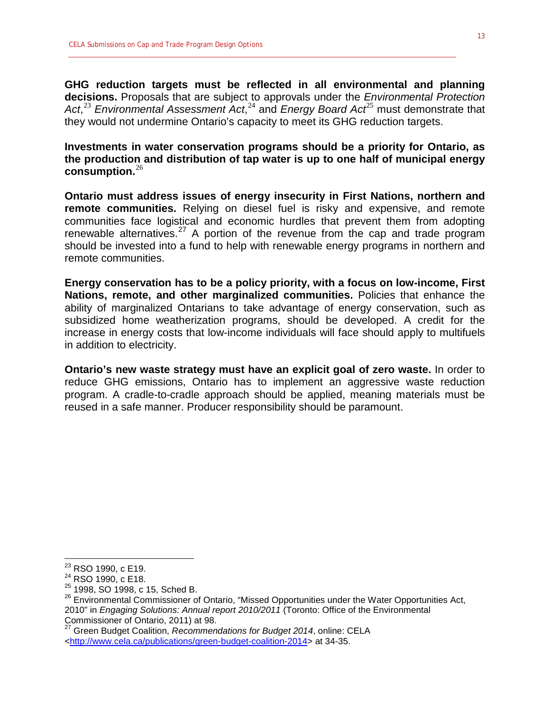**GHG reduction targets must be reflected in all environmental and planning decisions.** Proposals that are subject to approvals under the *Environmental Protection*  Act,<sup>[23](#page-12-0)</sup> Environmental Assessment Act,<sup>[24](#page-12-1)</sup> and Energy Board Act<sup>[25](#page-12-2)</sup> must demonstrate that they would not undermine Ontario's capacity to meet its GHG reduction targets.

**Investments in water conservation programs should be a priority for Ontario, as the production and distribution of tap water is up to one half of municipal energy consumption.**[26](#page-12-3)

**Ontario must address issues of energy insecurity in First Nations, northern and remote communities.** Relying on diesel fuel is risky and expensive, and remote communities face logistical and economic hurdles that prevent them from adopting renewable alternatives.<sup>[27](#page-12-4)</sup> A portion of the revenue from the cap and trade program should be invested into a fund to help with renewable energy programs in northern and remote communities.

**Energy conservation has to be a policy priority, with a focus on low-income, First Nations, remote, and other marginalized communities.** Policies that enhance the ability of marginalized Ontarians to take advantage of energy conservation, such as subsidized home weatherization programs, should be developed. A credit for the increase in energy costs that low-income individuals will face should apply to multifuels in addition to electricity.

**Ontario's new waste strategy must have an explicit goal of zero waste.** In order to reduce GHG emissions, Ontario has to implement an aggressive waste reduction program. A cradle-to-cradle approach should be applied, meaning materials must be reused in a safe manner. Producer responsibility should be paramount.

<span id="page-12-1"></span>

<span id="page-12-0"></span><sup>&</sup>lt;sup>23</sup> RSO 1990, c E19.<br><sup>24</sup> RSO 1990, c E18.<br><sup>25</sup> 1998, SO 1998, c 15, Sched B.

<span id="page-12-3"></span><span id="page-12-2"></span><sup>&</sup>lt;sup>26</sup> Environmental Commissioner of Ontario, "Missed Opportunities under the Water Opportunities Act, 2010" in *Engaging Solutions: Annual report 2010/2011* (Toronto: Office of the Environmental Commissioner of Ontario, 2011) at 98.

<span id="page-12-4"></span><sup>27</sup> Green Budget Coalition, *Recommendations for Budget 2014*, online: CELA [<http://www.cela.ca/publications/green-budget-coalition-2014>](http://www.cela.ca/publications/green-budget-coalition-2014) at 34-35.